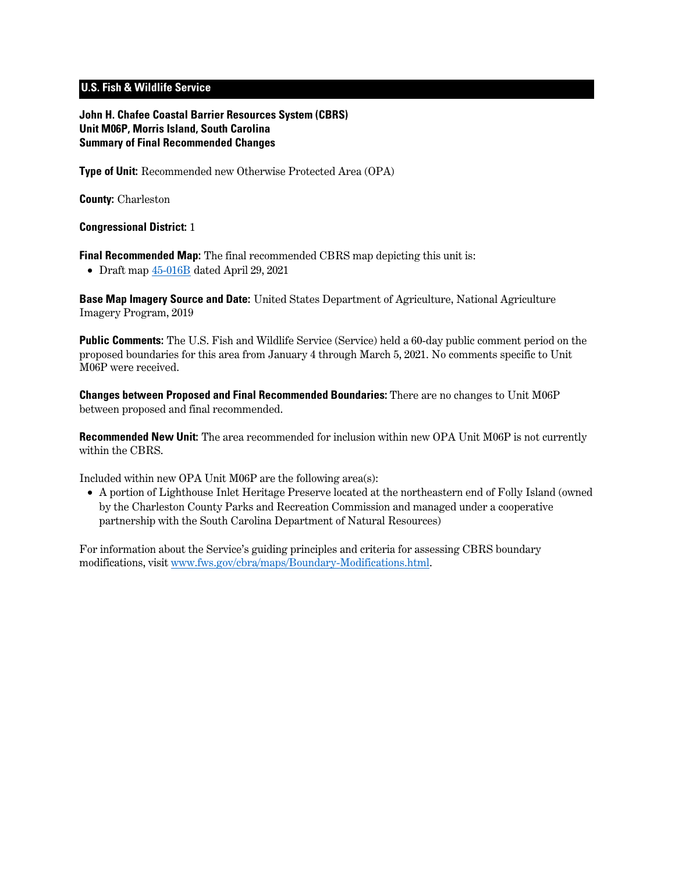## **U.S. Fish & Wildlife Service**

**John H. Chafee Coastal Barrier Resources System (CBRS) Unit M06P, Morris Island, South Carolina Summary of Final Recommended Changes**

**Type of Unit:** Recommended new Otherwise Protected Area (OPA)

**County:** Charleston

**Congressional District:** 1

**Final Recommended Map:** The final recommended CBRS map depicting this unit is:

• Draft map [45-016B](https://www.fws.gov/cbra/projects/technical-corrections/Final-Recommended-45-016B.pdf) dated April 29, 2021

**Base Map Imagery Source and Date:** United States Department of Agriculture, National Agriculture Imagery Program, 2019

**Public Comments:** The U.S. Fish and Wildlife Service (Service) held a 60-day public comment period on the proposed boundaries for this area from January 4 through March 5, 2021. No comments specific to Unit M06P were received.

**Changes between Proposed and Final Recommended Boundaries:** There are no changes to Unit M06P between proposed and final recommended.

**Recommended New Unit:** The area recommended for inclusion within new OPA Unit M06P is not currently within the CBRS.

Included within new OPA Unit M06P are the following area(s):

• A portion of Lighthouse Inlet Heritage Preserve located at the northeastern end of Folly Island (owned by the Charleston County Parks and Recreation Commission and managed under a cooperative partnership with the South Carolina Department of Natural Resources)

For information about the Service's guiding principles and criteria for assessing CBRS boundary modifications, visit [www.fws.gov/cbra/maps/Boundary-Modifications.html.](https://www.fws.gov/cbra/maps/Boundary-Modifications.html)